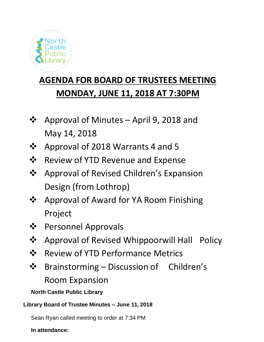

## **AGENDA FOR BOARD OF TRUSTEES MEETING MONDAY, JUNE 11, 2018 AT 7:30PM**

- ❖ Approval of Minutes April 9, 2018 and May 14, 2018
- ❖ Approval of 2018 Warrants 4 and 5
- ❖ Review of YTD Revenue and Expense
- ❖ Approval of Revised Children's Expansion Design (from Lothrop)
- ❖ Approval of Award for YA Room Finishing Project
- ❖ Personnel Approvals
- ❖ Approval of Revised Whippoorwill Hall Policy
- ❖ Review of YTD Performance Metrics
- ❖ Brainstorming Discussion of Children's Room Expansion

**North Castle Public Library**

## **Library Board of Trustee Minutes – June 11, 2018**

Sean Ryan called meeting to order at 7:34 PM

**In attendance:**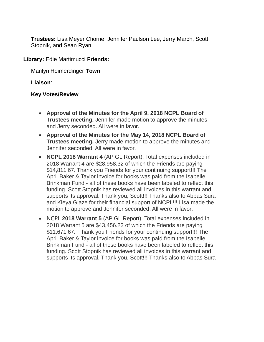**Trustees:** Lisa Meyer Chorne, Jennifer Paulson Lee, Jerry March, Scott Stopnik, and Sean Ryan

**Library:** Edie Martimucci **Friends:**

Marilyn Heimerdinger **Town**

**Liaison**:

## **Key Votes/Review**

- **Approval of the Minutes for the April 9, 2018 NCPL Board of Trustees meeting.** Jennifer made motion to approve the minutes and Jerry seconded. All were in favor.
- **Approval of the Minutes for the May 14, 2018 NCPL Board of Trustees meeting.** Jerry made motion to approve the minutes and Jennifer seconded. All were in favor.
- **NCPL 2018 Warrant 4** (AP GL Report). Total expenses included in 2018 Warrant 4 are \$28,958.32 of which the Friends are paying \$14,811.67. Thank you Friends for your continuing support!!! The April Baker & Taylor invoice for books was paid from the Isabelle Brinkman Fund - all of these books have been labeled to reflect this funding. Scott Stopnik has reviewed all invoices in this warrant and supports its approval. Thank you, Scott!!! Thanks also to Abbas Sura and Kieya Glaze for their financial support of NCPL!!! Lisa made the motion to approve and Jennifer seconded. All were in favor.
- NCPL **2018 Warrant 5** (AP GL Report). Total expenses included in 2018 Warrant 5 are \$43,456.23 of which the Friends are paying \$11,671.67. Thank you Friends for your continuing support!!! The April Baker & Taylor invoice for books was paid from the Isabelle Brinkman Fund - all of these books have been labeled to reflect this funding. Scott Stopnik has reviewed all invoices in this warrant and supports its approval. Thank you, Scott!!! Thanks also to Abbas Sura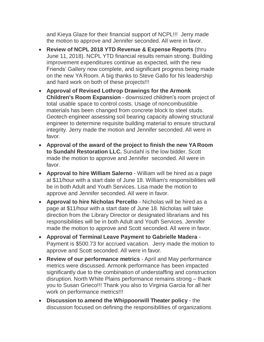and Kieya Glaze for their financial support of NCPL!!! Jerry made the motion to approve and Jennifer seconded. All were in favor.

- **Review of NCPL 2018 YTD Revenue & Expense Reports** (thru June 11, 2018). NCPL YTD financial results remain strong. Building improvement expenditures continue as expected, with the new Friends' Gallery now complete, and significant progress being made on the new YA Room. A big thanks to Steve Gallo for his leadership and hard work on both of these projects!!!
- **Approval of Revised Lothrop Drawings for the Armonk Children's Room Expansion** - downsized children's room project of total usable space to control costs. Usage of noncombustible materials has been changed from concrete block to steel studs. Geotech engineer assessing soil bearing capacity allowing structural engineer to determine requisite building material to ensure structural integrity. Jerry made the motion and Jennifer seconded. All were in favor.
- **Approval of the award of the project to finish the new YA Room to Sundahl Restoration LLC.** Sundahl is the low bidder. Scott made the motion to approve and Jennifer seconded. All were in favor.
- **Approval to hire William Salerno** William will be hired as a page at \$11/hour with a start date of June 18. William's responsibilities will be in both Adult and Youth Services. Lisa made the motion to approve and Jennifer seconded. All were in favor.
- **Approval to hire Nicholas Percello** Nicholas will be hired as a page at \$11/hour with a start date of June 18. Nicholas will take direction from the Library Director or designated librarians and his responsibilities will be in both Adult and Youth Services. Jennifer made the motion to approve and Scott seconded. All were in favor.
- **Approval of Terminal Leave Payment to Gabrielle Madera** Payment is \$500.73 for accrued vacation. Jerry made the motion to approve and Scott seconded. All were in favor.
- **Review of our performance metrics** April and May performance metrics were discussed. Armonk performance has been impacted significantly due to the combination of understaffing and construction disruption. North White Plains performance remains strong – thank you to Susan Grieco!!! Thank you also to Virginia Garcia for all her work on performance metrics!!!
- **Discussion to amend the Whippoorwill Theater policy** the discussion focused on defining the responsibilities of organizations